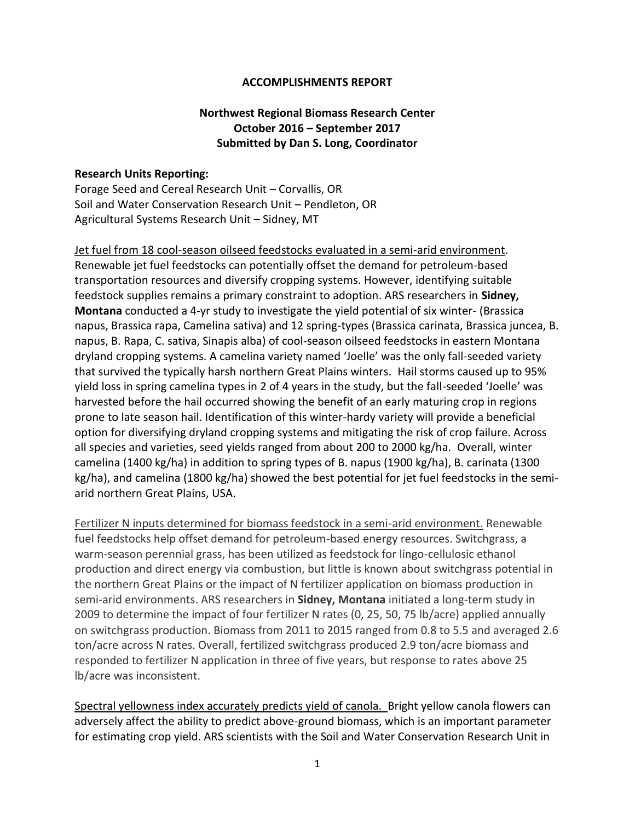## **ACCOMPLISHMENTS REPORT**

## **Northwest Regional Biomass Research Center October 2016 – September 2017 Submitted by Dan S. Long, Coordinator**

## **Research Units Reporting:**

Forage Seed and Cereal Research Unit – Corvallis, OR Soil and Water Conservation Research Unit – Pendleton, OR Agricultural Systems Research Unit – Sidney, MT

Jet fuel from 18 cool-season oilseed feedstocks evaluated in a semi-arid environment. Renewable jet fuel feedstocks can potentially offset the demand for petroleum-based transportation resources and diversify cropping systems. However, identifying suitable feedstock supplies remains a primary constraint to adoption. ARS researchers in **Sidney, Montana** conducted a 4-yr study to investigate the yield potential of six winter- (Brassica napus, Brassica rapa, Camelina sativa) and 12 spring-types (Brassica carinata, Brassica juncea, B. napus, B. Rapa, C. sativa, Sinapis alba) of cool-season oilseed feedstocks in eastern Montana dryland cropping systems. A camelina variety named 'Joelle' was the only fall-seeded variety that survived the typically harsh northern Great Plains winters. Hail storms caused up to 95% yield loss in spring camelina types in 2 of 4 years in the study, but the fall-seeded 'Joelle' was harvested before the hail occurred showing the benefit of an early maturing crop in regions prone to late season hail. Identification of this winter-hardy variety will provide a beneficial option for diversifying dryland cropping systems and mitigating the risk of crop failure. Across all species and varieties, seed yields ranged from about 200 to 2000 kg/ha. Overall, winter camelina (1400 kg/ha) in addition to spring types of B. napus (1900 kg/ha), B. carinata (1300 kg/ha), and camelina (1800 kg/ha) showed the best potential for jet fuel feedstocks in the semiarid northern Great Plains, USA.

Fertilizer N inputs determined for biomass feedstock in a semi-arid environment. Renewable fuel feedstocks help offset demand for petroleum-based energy resources. Switchgrass, a warm-season perennial grass, has been utilized as feedstock for lingo-cellulosic ethanol production and direct energy via combustion, but little is known about switchgrass potential in the northern Great Plains or the impact of N fertilizer application on biomass production in semi-arid environments. ARS researchers in **Sidney, Montana** initiated a long-term study in 2009 to determine the impact of four fertilizer N rates (0, 25, 50, 75 lb/acre) applied annually on switchgrass production. Biomass from 2011 to 2015 ranged from 0.8 to 5.5 and averaged 2.6 ton/acre across N rates. Overall, fertilized switchgrass produced 2.9 ton/acre biomass and responded to fertilizer N application in three of five years, but response to rates above 25 lb/acre was inconsistent.

Spectral yellowness index accurately predicts yield of canola. Bright yellow canola flowers can adversely affect the ability to predict above-ground biomass, which is an important parameter for estimating crop yield. ARS scientists with the Soil and Water Conservation Research Unit in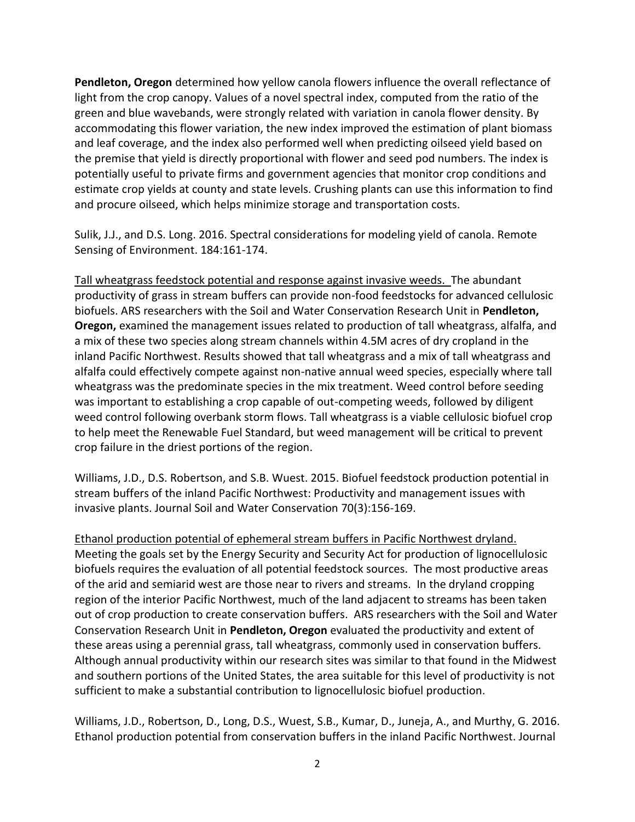**Pendleton, Oregon** determined how yellow canola flowers influence the overall reflectance of light from the crop canopy. Values of a novel spectral index, computed from the ratio of the green and blue wavebands, were strongly related with variation in canola flower density. By accommodating this flower variation, the new index improved the estimation of plant biomass and leaf coverage, and the index also performed well when predicting oilseed yield based on the premise that yield is directly proportional with flower and seed pod numbers. The index is potentially useful to private firms and government agencies that monitor crop conditions and estimate crop yields at county and state levels. Crushing plants can use this information to find and procure oilseed, which helps minimize storage and transportation costs.

Sulik, J.J., and D.S. Long. 2016. Spectral considerations for modeling yield of canola. Remote Sensing of Environment. 184:161-174.

Tall wheatgrass feedstock potential and response against invasive weeds. The abundant productivity of grass in stream buffers can provide non-food feedstocks for advanced cellulosic biofuels. ARS researchers with the Soil and Water Conservation Research Unit in **Pendleton, Oregon,** examined the management issues related to production of tall wheatgrass, alfalfa, and a mix of these two species along stream channels within 4.5M acres of dry cropland in the inland Pacific Northwest. Results showed that tall wheatgrass and a mix of tall wheatgrass and alfalfa could effectively compete against non-native annual weed species, especially where tall wheatgrass was the predominate species in the mix treatment. Weed control before seeding was important to establishing a crop capable of out-competing weeds, followed by diligent weed control following overbank storm flows. Tall wheatgrass is a viable cellulosic biofuel crop to help meet the Renewable Fuel Standard, but weed management will be critical to prevent crop failure in the driest portions of the region.

Williams, J.D., D.S. Robertson, and S.B. Wuest. 2015. Biofuel feedstock production potential in stream buffers of the inland Pacific Northwest: Productivity and management issues with invasive plants. Journal Soil and Water Conservation 70(3):156-169.

Ethanol production potential of ephemeral stream buffers in Pacific Northwest dryland. Meeting the goals set by the Energy Security and Security Act for production of lignocellulosic biofuels requires the evaluation of all potential feedstock sources. The most productive areas of the arid and semiarid west are those near to rivers and streams. In the dryland cropping region of the interior Pacific Northwest, much of the land adjacent to streams has been taken out of crop production to create conservation buffers. ARS researchers with the Soil and Water Conservation Research Unit in **Pendleton, Oregon** evaluated the productivity and extent of these areas using a perennial grass, tall wheatgrass, commonly used in conservation buffers. Although annual productivity within our research sites was similar to that found in the Midwest and southern portions of the United States, the area suitable for this level of productivity is not sufficient to make a substantial contribution to lignocellulosic biofuel production.

Williams, J.D., Robertson, D., Long, D.S., Wuest, S.B., Kumar, D., Juneja, A., and Murthy, G. 2016. Ethanol production potential from conservation buffers in the inland Pacific Northwest. Journal